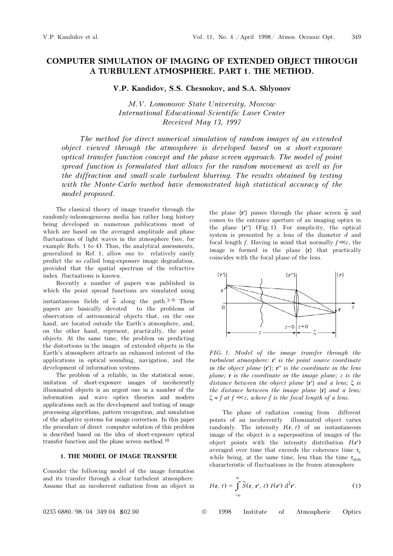## COMPUTER SIMULATION OF IMAGING OF EXTENDED OBJECT THROUGH A TURBULENT ATMOSPHERE. PART 1. THE METHOD.

V.P. Kandidov, S.S. Chesnokov, and S.A. Shlyonov

M.V. Lomonosov State University, Moscow International Educational-Scientific Laser Center Received May 13, 1997

The method for direct numerical simulation of random images of an extended object viewed through the atmosphere is developed based on a short-exposure optical transfer function concept and the phase screen approach. The model of point spread function is formulated that allows for the random movement as well as for the diffraction and small-scale turbulent blurring. The results obtained by testing with the Monte-Carlo method have demonstrated high statistical accuracy of the model proposed.

The classical theory of image transfer through the randomly-inhomogeneous media has rather long history being developed in numerous publications most of which are based on the averaged amplitude and phase fluctuations of light waves in the atmosphere (see, for example Refs. 1 to 4). Thus, the analytical assessments, generalized in Ref. 1, allow one to relatively easily predict the so called long-exposure image degradation, provided that the spatial spectrum of the refractive index fluctuations is known.

Recently a number of papers was published in which the point spread functions are simulated using instantaneous fields of  $\tilde{n}$  along the path.<sup>5-9</sup> These papers are basically devoted to the problems of observation of astronomical objects that, on the one hand, are located outside the Earth's atmosphere, and, on the other hand, represent, practically, the point objects. At the same time, the problem on predicting the distortions in the images of extended objects in the Earth's atmosphere attracts an enhanced interest of the applications in optical sounding, navigation, and the development of information systems.

The problem of a reliable, in the statistical sense, imitation of short-exposure images of incoherently illuminated objects is an urgent one in a number of the information and wave optics theories and modern applications such as the development and testing of image processing algorithms, pattern recognition, and simulation of the adaptive systems for image correction. In this paper the procedure of direct computer solution of this problem is described based on the idea of short-exposure optical transfer function and the phase screen method.10

## 1. THE MODEL OF IMAGE TRANSFER

Consider the following model of the image formation and its transfer through a clear turbulent atmosphere. Assume that an incoherent radiation from an object in

the plane  $\{r'\}$  passes through the phase screen  $\tilde{\varphi}$  and comes to the entrance aperture of an imaging optics in the plane  $\{r'\}$  (Fig. 1). For simplicity, the optical system is presented by a lens of the diameter  $d$  and focal length f. Having in mind that normally  $f \ll z$ , the image is formed in the plane {r} that practically coincides with the focal plane of the lens.



FIG. 1. Model of the image transfer through the turbulent atmosphere: r′ is the point source coordinate in the object plane  $\{r'\}$ ;  $r''$  is the coordinate in the lens plane;  $\bf{r}$  is the coordinate in the image plane;  $\bf{z}$  is the distance between the object plane  $\{r'\}$  and a lens;  $\zeta$  is the distance between the image plane  $\{r\}$  and a lens;  $\zeta \approx f$  at  $f \ll z$ , where f is the focal length of a lens.

The phase of radiation coming from different points of an incoherently illuminated object varies randomly. The intensity  $I(\mathbf{r}, t)$  of an instantaneous image of the object is a superposition of images of the object points with the intensity distribution  $I(r')$ averaged over time that exceeds the coherence time  $\tau_c$ while being, at the same time, less than the time  $\tau_{\text{atm}}$ characteristic of fluctuations in the frozen atmosphere

$$
I(\mathbf{r}, t) = \int_{-\infty}^{\infty} \widetilde{S}(\mathbf{r}, \mathbf{r}', t) I(\mathbf{r}') d^{2} \mathbf{r}'. \qquad (1)
$$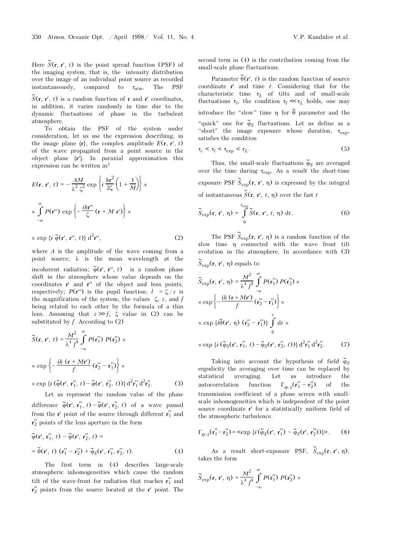Here  $\tilde{S}(\mathbf{r}, \mathbf{r}', t)$  is the point spread function (PSF) of the imaging system, that is, the intensity distribution over the image of an individual point source as recorded instantaneously, compared to  $\tau_{atm}$ . The PSF

 $\tilde{S}(\mathbf{r}, \mathbf{r}', t)$  is a random function of **r** and **r'** coordinates, in addition, it varies randomly in time due to the dynamic fluctuations of phase in the turbulent atmosphere.

To obtain the PSF of the system under consideration, let us use the expression describing, in the image plane  $\{r\}$ , the complex amplitude  $E(\mathbf{r}, \mathbf{r}', t)$ of the wave propagated from a point source in the object plane {r′}. In paraxial approximation this expression can be written as1

$$
E(\mathbf{r}, \mathbf{r}', t) = -\frac{AM}{\lambda^2 \zeta^2} \exp\left\{i\frac{k\mathbf{r}^2}{2\zeta} \left(1 + \frac{1}{M}\right)\right\} \times
$$

$$
\times \int_{-\infty}^{\infty} P(\mathbf{r}'') \exp\left\{-\frac{i k \mathbf{r}''}{\zeta} (\mathbf{r} + M \mathbf{r}')\right\} \times
$$

$$
\times \exp \{i \; \widetilde{\varphi}(\mathbf{r}', \, \mathbf{r}'', \, t)\} \; d^2 \mathbf{r}'', \tag{2}
$$

where  $A$  is the amplitude of the wave coming from a point source;  $\lambda$  is the mean wavelength at the incoherent radiation;  $\tilde{\varphi}(\mathbf{r}', \mathbf{r}'', t)$  is a random phase shift in the atmosphere whose value depends on the coordinates  $\mathbf{r}'$  and  $\mathbf{r}''$  of the object and lens points, respectively;  $P(\mathbf{r}^{\prime\prime})$  is the pupil function;  $l = \zeta/z$  is the magnification of the system, the values  $\zeta$ , z, and f being related to each other by the formula of a thin lens. Assuming that  $z \gg f$ ,  $\zeta$  value in (2) can be substituted by  $f$ . According to  $(2)$ 

$$
\widetilde{S}(\mathbf{r}, \mathbf{r}', t) = \frac{M^2}{\lambda^4 f^4} \int_{-\infty}^{\infty} P(\mathbf{r}_1'') P(\mathbf{r}_2'') \times
$$
\n
$$
\times \exp\left\{-\frac{ik(\mathbf{r} + M\mathbf{r}')}{f} (\mathbf{r}_2'' - \mathbf{r}_1'')\right\} \times
$$

 $\times$  exp {*i* ( $\tilde{\varphi}$ (**r'**, **r''**<sub>1</sub>, *t*) -  $\tilde{\varphi}$ (**r'**, **r'**<sub>2</sub><sup>'</sup>, *t*))} d<sup>2</sup>**r'**<sub>1</sub><sup>'</sup>d<sup>2</sup>  $(3)$ 

Let us represent the random value of the phase difference  $\tilde{\varphi}(\mathbf{r}', \mathbf{r}'_1, t) - \tilde{\varphi}(\mathbf{r}', \mathbf{r}'_2, t)$  of a wave passed from the r' point of the source through different  $r''_1$  and  $r''_2$  points of the lens aperture in the form

$$
\widetilde{\varphi}(\mathbf{r}', \mathbf{r}_1'', t) - \widetilde{\varphi}(\mathbf{r}', \mathbf{r}_2'', t) =
$$
\n
$$
= \widetilde{\theta}(\mathbf{r}', t) (\mathbf{r}_1'' - \mathbf{r}_2'') + \widetilde{\varphi}_S(\mathbf{r}', \mathbf{r}_1'', \mathbf{r}_2'', t).
$$
\n(4)

The first term in (4) describes large-scale atmospheric inhomogeneities which cause the random tilt of the wave-front for radiation that reaches  $r''_1$  and  $r''_2$  points from the source located at the r' point. The second term in (4) is the contribution coming from the small-scale phase fluctuations.

Parameter  $\tilde{\theta}$ (**r'**, *t*) is the random function of source coordinate  $r'$  and time  $t$ . Considering that for the characteristic time  $\tau_L$  of tilts and of small-scale fluctuations  $\tau_l$ , the condition  $\tau_l \ll \tau_l$  holds, one may introduce the "slow" time  $\eta$  for  $\tilde{\theta}$  parameter and the "quick" one for  $\tilde{\varphi}_S$  fluctuations. Let us define as a "short" the image exposure whose duration,  $\tau_{\text{exp}}$ , satisfies the condition

$$
\tau_c < \tau_l < \tau_{\exp} < \tau_L. \tag{5}
$$

Thus, the small-scale fluctuations  $\tilde{\varphi}_S$  are averaged over the time during  $\tau_{exp}$ . As a result the short-time exposure PSF  $\widetilde{S}_{exp}(\mathbf{r}, \mathbf{r}', \eta)$  is expressed by the integral of instantaneous  $\widetilde{S}(\mathbf{r}, \mathbf{r}', t, \eta)$  over the fast t

$$
\widetilde{S}_{\exp}(\mathbf{r}, \mathbf{r}', \eta) = \int_{0}^{\tau_{\exp}} \widetilde{S}(\mathbf{r}, \mathbf{r}', t, \eta) dt.
$$
 (6)

The PSF  $\widetilde{S}_{exp}(\mathbf{r}, \mathbf{r}', \eta)$  is a random function of the slow time η connected with the wave front tilt evolution in the atmosphere. In accordance with (3)

$$
\widetilde{S}_{\exp}(\mathbf{r}, \mathbf{r}', \eta) \text{ equals to}
$$
\n
$$
\widetilde{S}_{\exp}(\mathbf{r}, \mathbf{r}', \eta) = \frac{M^2}{\lambda^4 f^4} \int_{-\infty}^{\infty} P(\mathbf{r}'_1) P(\mathbf{r}'_2) \times
$$
\n
$$
\times \exp\left\{-\frac{ik(\mathbf{r} + M\mathbf{r}')}{f}(\mathbf{r}'_2 - \mathbf{r}'_1)\right\} \times
$$
\n
$$
\times \exp\left\{i\widetilde{\theta}(\mathbf{r}', \eta) (\mathbf{r}'_2 - \mathbf{r}'_1)\right\} \int_{0}^{\tau} dt \times
$$
\n
$$
\times \exp\left\{i(\widetilde{\phi}_S(\mathbf{r}', \mathbf{r}''_1, t) - \widetilde{\phi}_S(\mathbf{r}', \mathbf{r}''_2, t))\right\} d^2\mathbf{r}''_1 d^2\mathbf{r}''_2. \tag{7}
$$

Taking into account the hypothesis of field  $\tilde{\varphi}_S$ ergodicity the averaging over time can be replaced by statistical averaging. Let us introduce the statistical averaging. Let us introduce the autocorrelation function  $\Gamma_{\varphi}$  s( $\mathbf{r}'_1 - \mathbf{r}'_2$ ) of the transmission coefficient of a phase screen with smallscale inhomogeneities which is independent of the point source coordinate r′ for a statistically uniform field of the atmospheric turbulence.

$$
\Gamma_{\varphi}{}_{s}(\mathbf{r}_{1}'' - \mathbf{r}_{2}'') = \langle \exp \{i\left(\widetilde{\varphi}_{S}(\mathbf{r}', \mathbf{r}_{1}'') - \widetilde{\varphi}_{S}(\mathbf{r}', \mathbf{r}_{2}'')\right)\} \rangle. \tag{8}
$$

As a result short-exposure PSF,  $\tilde{S}_{exp}(\mathbf{r}, \mathbf{r}', \eta)$ , takes the form

$$
\widetilde{S}_{\exp}(\mathbf{r}, \mathbf{r}', \eta) = \frac{M^2}{\lambda^4 f^4} \int_{-\infty}^{\infty} P(\mathbf{r}'_1) P(\mathbf{r}'_2) \times
$$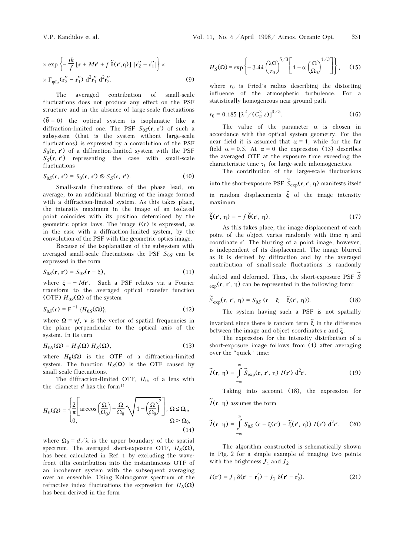$$
\times \exp \left\{ -\frac{ik}{f} \left[ \mathbf{r} + M\mathbf{r}' + f \widetilde{\theta}(\mathbf{r}', \eta) \right] \left[ \mathbf{r}_2'' - \mathbf{r}_1'' \right] \right\} \times
$$
  
 
$$
\times \Gamma_{\varphi}{}_{s}(\mathbf{r}_2'' - \mathbf{r}_1'') \, d^2 \mathbf{r}_1'' \, d^2 \mathbf{r}_2''.
$$
 (9)

The averaged contribution of small-scale fluctuations does not produce any effect on the PSF structure and in the absence of large-scale fluctuations

 $(\tilde{\theta} = 0)$  the optical system is isoplanatic like a diffraction-limited one. The PSF  $S_{0S}(\mathbf{r}, \mathbf{r}')$  of such a subsystem (that is the system without large-scale fluctuations) is expressed by a convolution of the PSF  $S_0(\mathbf{r}, \mathbf{r}')$  of a diffraction-limited system with the PSF  $S_S(\mathbf{r}, \mathbf{r}')$  representing the case with small-scale fluctuations

$$
S_{0S}(\mathbf{r}, \mathbf{r}') = S_0(\mathbf{r}, \mathbf{r}') \otimes S_S(\mathbf{r}, \mathbf{r}'). \tag{10}
$$

Small-scale fluctuations of the phase lead, on average, to an additional blurring of the image formed with a diffraction-limited system. As this takes place, the intensity maximum in the image of an isolated point coincides with its position determined by the geometric optics laws. The image  $I(r)$  is expressed, as in the case with a diffraction-limited system, by the convolution of the PSF with the geometric-optics image.

Because of the isoplanatism of the subsystem with averaged small-scale fluctuations the PSF  $S_{0S}$  can be expressed in the form

$$
S_{0S}(\mathbf{r}, \mathbf{r}') = S_{0S}(\mathbf{r} - \xi), \tag{11}
$$

where  $\xi = -Mr'$ . Such a PSF relates via a Fourier transform to the averaged optical transfer function (OTF)  $H_{0S}(\Omega)$  of the system

$$
S_{0S}(\mathbf{r}) = \mathrm{F}^{-1} \, \{ H_{0S}(\Omega) \},\tag{12}
$$

where  $\Omega = v f$ , v is the vector of spatial frequencies in the plane perpendicular to the optical axis of the system. In its turn

$$
H_{0S}(\Omega) = H_0(\Omega) H_S(\Omega), \qquad (13)
$$

where  $H_0(\Omega)$  is the OTF of a diffraction-limited system. The function  $H_S(\Omega)$  is the OTF caused by small-scale fluctuations.

The diffraction-limited OTF,  $H_0$ , of a lens with the diameter  $d$  has the form<sup>11</sup>

$$
H_0(\Omega) = \begin{cases} \frac{2}{\pi} \Bigg[ \arccos\left(\frac{\Omega}{\Omega_0}\right) - \frac{\Omega}{\Omega_0} \sqrt{1 - \left(\frac{\Omega}{\Omega_0}\right)^2} \Bigg], \ \Omega \le \Omega_0, \\ 0, \qquad \Omega > \Omega_0, \end{cases}
$$
\n(14)

where  $\Omega_0 = d/\lambda$  is the upper boundary of the spatial spectrum. The averaged short-exposure OTF,  $H_S(\Omega)$ , has been calculated in Ref. 1 by excluding the wavefront tilts contribution into the instantaneous OTF of an incoherent system with the subsequent averaging over an ensemble. Using Kolmogorov spectrum of the refractive index fluctuations the expression for  $H_S(\Omega)$ has been derived in the form

$$
H_S(\Omega) = \exp\left\{-3.44 \left(\frac{\lambda \Omega}{r_0}\right)^{5/3} \left[1 - \alpha \left(\frac{\Omega}{\Omega_0}\right)^{1/3}\right]\right\}, \quad (15)
$$

where  $r_0$  is Fried's radius describing the distorting influence of the atmospheric turbulence. For a statistically homogeneous near-ground path

$$
r_0 = 0.185 \left[ \lambda^2 / (C_n^2 \, z) \right]^{3/5}.
$$
 (16)

The value of the parameter  $\alpha$  is chosen in accordance with the optical system geometry. For the near field it is assumed that  $\alpha = 1$ , while for the far field  $\alpha = 0.5$ . At  $\alpha = 0$  the expression (15) describes the averaged OTF at the exposure time exceeding the characteristic time  $\tau_L$  for large-scale inhomogeneities.

The contribution of the large-scale fluctuations into the short-exposure PSF  $\widetilde{S}_{\mathrm{exp}}(\mathbf{r},\mathbf{r}',\boldsymbol{\eta})$  manifests itself

in random displacements  $\tilde{\xi}$  of the image intensity maximum

$$
\tilde{\xi}(\mathbf{r}', \eta) = -f \, \tilde{\theta}(\mathbf{r}', \eta). \tag{17}
$$

As this takes place, the image displacement of each point of the object varies randomly with time η and coordinate r′. The blurring of a point image, however, is independent of its displacement. The image blurred as it is defined by diffraction and by the averaged contribution of small-scale fluctuations is randomly

shifted and deformed. Thus, the short-exposure PSF  $\widetilde{\mathcal{S}}$  $_{\rm exp}(\mathbf{r}, \mathbf{r}', \eta)$  can be represented in the following form:

$$
\widetilde{S}_{\exp}(\mathbf{r}, \mathbf{r}', \eta) = S_{0S} \left( \mathbf{r} - \xi - \widetilde{\xi}(\mathbf{r}', \eta) \right). \tag{18}
$$

The system having such a PSF is not spatially

invariant since there is random term  $\tilde{\xi}$  in the difference between the image and object coordinates r and ξ.

The expression for the intensity distribution of a short-exposure image follows from (1) after averaging over the "quick" time:

$$
\widetilde{I}(\mathbf{r}, \eta) = \int_{-\infty}^{\infty} \widetilde{S}_{\exp}(\mathbf{r}, \mathbf{r}', \eta) I(\mathbf{r}') d^2 \mathbf{r}'.
$$
 (19)

Taking into account (18), the expression for  $\widetilde{I}$ (**r**, η) assumes the form

$$
\widetilde{I}(\mathbf{r},\,\eta) = \int_{-\infty}^{\infty} S_{0S} \left( \mathbf{r} - \xi(\mathbf{r}') - \widetilde{\xi}(\mathbf{r}',\,\eta) \right) I(\mathbf{r}') \, \mathrm{d}^2 \mathbf{r}'. \tag{20}
$$

The algorithm constructed is schematically shown in Fig. 2 for a simple example of imaging two points with the brightness  $J_1$  and  $J_2$ 

$$
I(\mathbf{r}') = J_1 \delta(\mathbf{r}' - \mathbf{r}'_1) + J_2 \delta(\mathbf{r}' - \mathbf{r}'_2). \tag{21}
$$